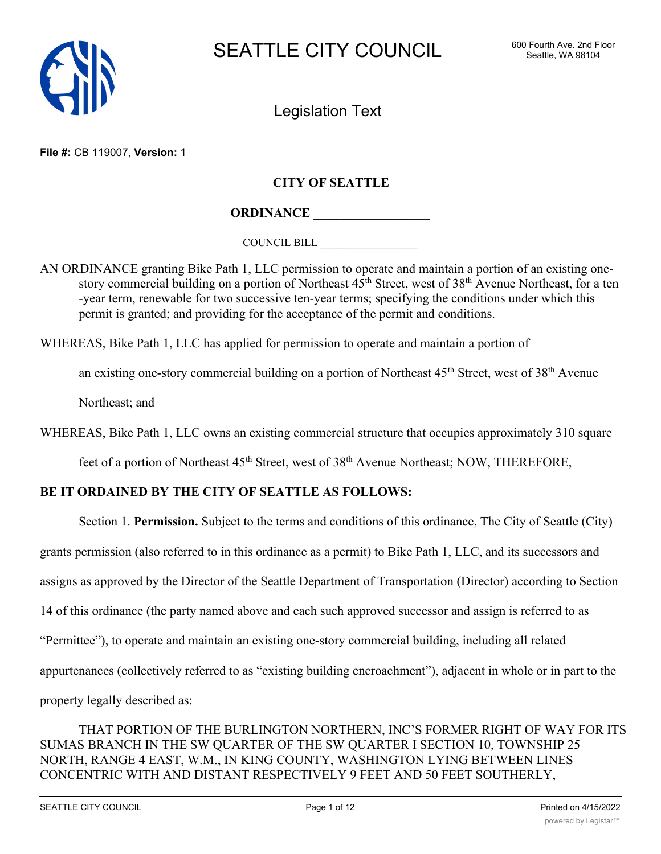

Legislation Text

**File #:** CB 119007, **Version:** 1

## **CITY OF SEATTLE**

**ORDINANCE \_\_\_\_\_\_\_\_\_\_\_\_\_\_\_\_\_\_**

COUNCIL BILL \_\_\_\_\_\_\_\_\_\_\_\_\_\_\_\_\_\_

AN ORDINANCE granting Bike Path 1, LLC permission to operate and maintain a portion of an existing onestory commercial building on a portion of Northeast  $45<sup>th</sup>$  Street, west of  $38<sup>th</sup>$  Avenue Northeast, for a ten -year term, renewable for two successive ten-year terms; specifying the conditions under which this permit is granted; and providing for the acceptance of the permit and conditions.

WHEREAS, Bike Path 1, LLC has applied for permission to operate and maintain a portion of

an existing one-story commercial building on a portion of Northeast  $45<sup>th</sup>$  Street, west of  $38<sup>th</sup>$  Avenue

Northeast; and

WHEREAS, Bike Path 1, LLC owns an existing commercial structure that occupies approximately 310 square

feet of a portion of Northeast 45<sup>th</sup> Street, west of 38<sup>th</sup> Avenue Northeast; NOW, THEREFORE,

## **BE IT ORDAINED BY THE CITY OF SEATTLE AS FOLLOWS:**

Section 1. **Permission.** Subject to the terms and conditions of this ordinance, The City of Seattle (City)

grants permission (also referred to in this ordinance as a permit) to Bike Path 1, LLC, and its successors and

assigns as approved by the Director of the Seattle Department of Transportation (Director) according to Section

14 of this ordinance (the party named above and each such approved successor and assign is referred to as

"Permittee"), to operate and maintain an existing one-story commercial building, including all related

appurtenances (collectively referred to as "existing building encroachment"), adjacent in whole or in part to the

property legally described as:

THAT PORTION OF THE BURLINGTON NORTHERN, INC'S FORMER RIGHT OF WAY FOR ITS SUMAS BRANCH IN THE SW QUARTER OF THE SW QUARTER I SECTION 10, TOWNSHIP 25 NORTH, RANGE 4 EAST, W.M., IN KING COUNTY, WASHINGTON LYING BETWEEN LINES CONCENTRIC WITH AND DISTANT RESPECTIVELY 9 FEET AND 50 FEET SOUTHERLY,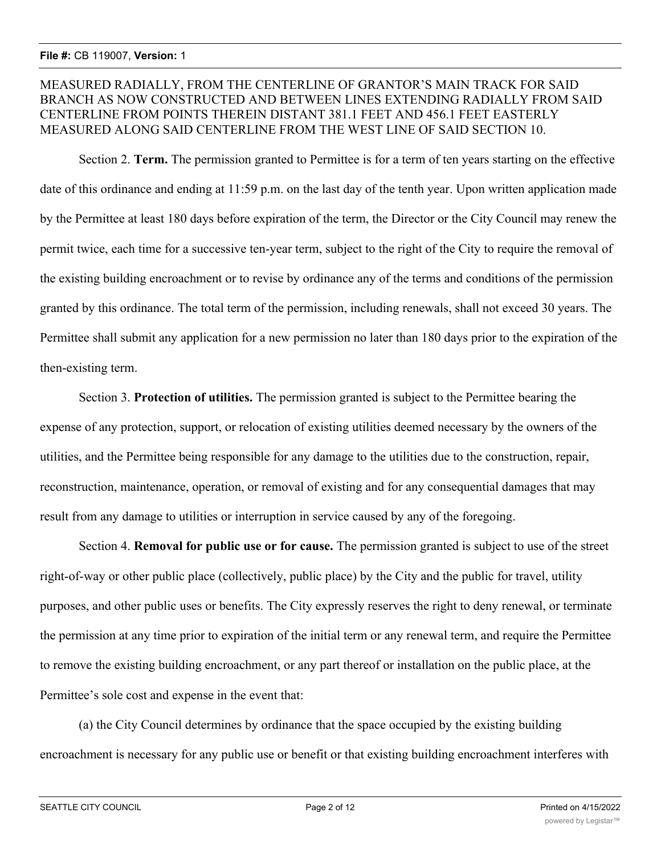# MEASURED RADIALLY, FROM THE CENTERLINE OF GRANTOR'S MAIN TRACK FOR SAID BRANCH AS NOW CONSTRUCTED AND BETWEEN LINES EXTENDING RADIALLY FROM SAID CENTERLINE FROM POINTS THEREIN DISTANT 381.1 FEET AND 456.1 FEET EASTERLY MEASURED ALONG SAID CENTERLINE FROM THE WEST LINE OF SAID SECTION 10.

Section 2. **Term.** The permission granted to Permittee is for a term of ten years starting on the effective date of this ordinance and ending at 11:59 p.m. on the last day of the tenth year. Upon written application made by the Permittee at least 180 days before expiration of the term, the Director or the City Council may renew the permit twice, each time for a successive ten-year term, subject to the right of the City to require the removal of the existing building encroachment or to revise by ordinance any of the terms and conditions of the permission granted by this ordinance. The total term of the permission, including renewals, shall not exceed 30 years. The Permittee shall submit any application for a new permission no later than 180 days prior to the expiration of the then-existing term.

Section 3. **Protection of utilities.** The permission granted is subject to the Permittee bearing the expense of any protection, support, or relocation of existing utilities deemed necessary by the owners of the utilities, and the Permittee being responsible for any damage to the utilities due to the construction, repair, reconstruction, maintenance, operation, or removal of existing and for any consequential damages that may result from any damage to utilities or interruption in service caused by any of the foregoing.

Section 4. **Removal for public use or for cause.** The permission granted is subject to use of the street right-of-way or other public place (collectively, public place) by the City and the public for travel, utility purposes, and other public uses or benefits. The City expressly reserves the right to deny renewal, or terminate the permission at any time prior to expiration of the initial term or any renewal term, and require the Permittee to remove the existing building encroachment, or any part thereof or installation on the public place, at the Permittee's sole cost and expense in the event that:

(a) the City Council determines by ordinance that the space occupied by the existing building encroachment is necessary for any public use or benefit or that existing building encroachment interferes with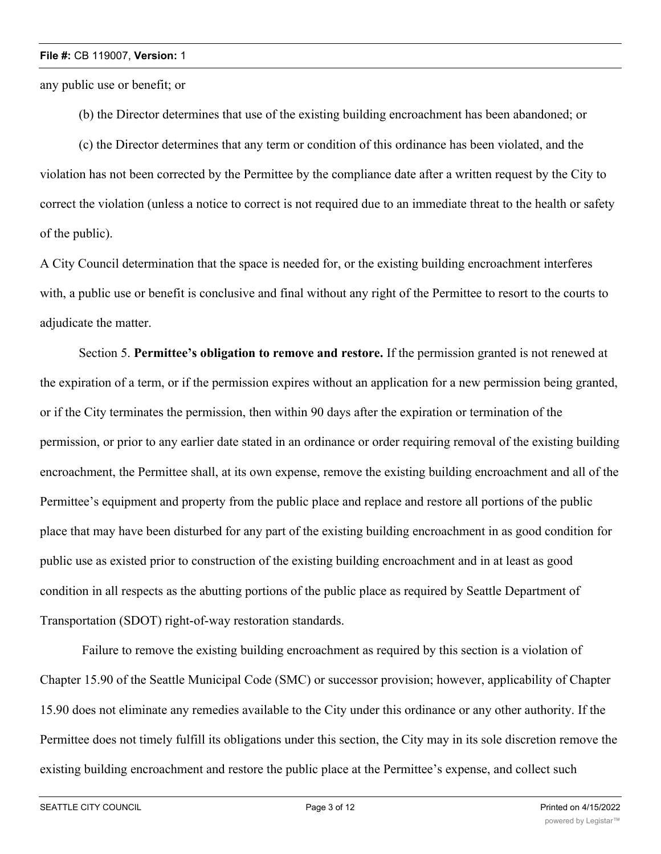any public use or benefit; or

(b) the Director determines that use of the existing building encroachment has been abandoned; or

(c) the Director determines that any term or condition of this ordinance has been violated, and the violation has not been corrected by the Permittee by the compliance date after a written request by the City to correct the violation (unless a notice to correct is not required due to an immediate threat to the health or safety of the public).

A City Council determination that the space is needed for, or the existing building encroachment interferes with, a public use or benefit is conclusive and final without any right of the Permittee to resort to the courts to adjudicate the matter.

Section 5. **Permittee's obligation to remove and restore.** If the permission granted is not renewed at the expiration of a term, or if the permission expires without an application for a new permission being granted, or if the City terminates the permission, then within 90 days after the expiration or termination of the permission, or prior to any earlier date stated in an ordinance or order requiring removal of the existing building encroachment, the Permittee shall, at its own expense, remove the existing building encroachment and all of the Permittee's equipment and property from the public place and replace and restore all portions of the public place that may have been disturbed for any part of the existing building encroachment in as good condition for public use as existed prior to construction of the existing building encroachment and in at least as good condition in all respects as the abutting portions of the public place as required by Seattle Department of Transportation (SDOT) right-of-way restoration standards.

 Failure to remove the existing building encroachment as required by this section is a violation of Chapter 15.90 of the Seattle Municipal Code (SMC) or successor provision; however, applicability of Chapter 15.90 does not eliminate any remedies available to the City under this ordinance or any other authority. If the Permittee does not timely fulfill its obligations under this section, the City may in its sole discretion remove the existing building encroachment and restore the public place at the Permittee's expense, and collect such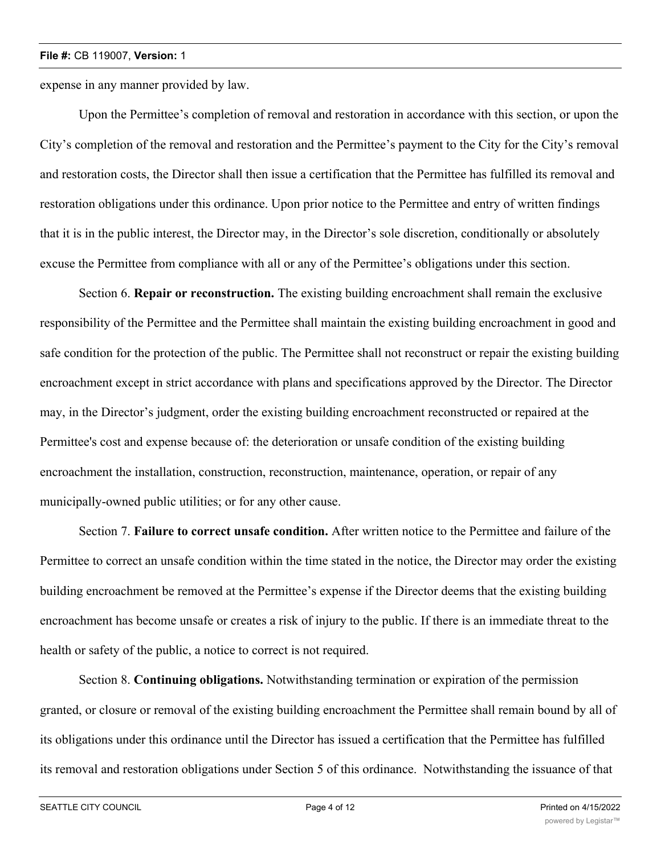expense in any manner provided by law.

Upon the Permittee's completion of removal and restoration in accordance with this section, or upon the City's completion of the removal and restoration and the Permittee's payment to the City for the City's removal and restoration costs, the Director shall then issue a certification that the Permittee has fulfilled its removal and restoration obligations under this ordinance. Upon prior notice to the Permittee and entry of written findings that it is in the public interest, the Director may, in the Director's sole discretion, conditionally or absolutely excuse the Permittee from compliance with all or any of the Permittee's obligations under this section.

Section 6. **Repair or reconstruction.** The existing building encroachment shall remain the exclusive responsibility of the Permittee and the Permittee shall maintain the existing building encroachment in good and safe condition for the protection of the public. The Permittee shall not reconstruct or repair the existing building encroachment except in strict accordance with plans and specifications approved by the Director. The Director may, in the Director's judgment, order the existing building encroachment reconstructed or repaired at the Permittee's cost and expense because of: the deterioration or unsafe condition of the existing building encroachment the installation, construction, reconstruction, maintenance, operation, or repair of any municipally-owned public utilities; or for any other cause.

Section 7. **Failure to correct unsafe condition.** After written notice to the Permittee and failure of the Permittee to correct an unsafe condition within the time stated in the notice, the Director may order the existing building encroachment be removed at the Permittee's expense if the Director deems that the existing building encroachment has become unsafe or creates a risk of injury to the public. If there is an immediate threat to the health or safety of the public, a notice to correct is not required.

Section 8. **Continuing obligations.** Notwithstanding termination or expiration of the permission granted, or closure or removal of the existing building encroachment the Permittee shall remain bound by all of its obligations under this ordinance until the Director has issued a certification that the Permittee has fulfilled its removal and restoration obligations under Section 5 of this ordinance. Notwithstanding the issuance of that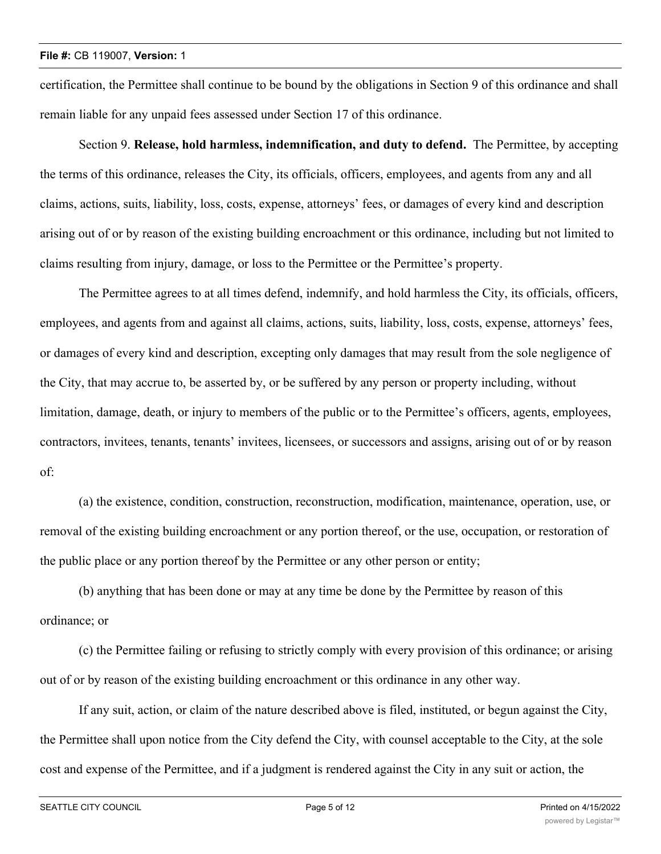certification, the Permittee shall continue to be bound by the obligations in Section 9 of this ordinance and shall remain liable for any unpaid fees assessed under Section 17 of this ordinance.

Section 9. **Release, hold harmless, indemnification, and duty to defend.** The Permittee, by accepting the terms of this ordinance, releases the City, its officials, officers, employees, and agents from any and all claims, actions, suits, liability, loss, costs, expense, attorneys' fees, or damages of every kind and description arising out of or by reason of the existing building encroachment or this ordinance, including but not limited to claims resulting from injury, damage, or loss to the Permittee or the Permittee's property.

The Permittee agrees to at all times defend, indemnify, and hold harmless the City, its officials, officers, employees, and agents from and against all claims, actions, suits, liability, loss, costs, expense, attorneys' fees, or damages of every kind and description, excepting only damages that may result from the sole negligence of the City, that may accrue to, be asserted by, or be suffered by any person or property including, without limitation, damage, death, or injury to members of the public or to the Permittee's officers, agents, employees, contractors, invitees, tenants, tenants' invitees, licensees, or successors and assigns, arising out of or by reason of:

(a) the existence, condition, construction, reconstruction, modification, maintenance, operation, use, or removal of the existing building encroachment or any portion thereof, or the use, occupation, or restoration of the public place or any portion thereof by the Permittee or any other person or entity;

(b) anything that has been done or may at any time be done by the Permittee by reason of this ordinance; or

(c) the Permittee failing or refusing to strictly comply with every provision of this ordinance; or arising out of or by reason of the existing building encroachment or this ordinance in any other way.

If any suit, action, or claim of the nature described above is filed, instituted, or begun against the City, the Permittee shall upon notice from the City defend the City, with counsel acceptable to the City, at the sole cost and expense of the Permittee, and if a judgment is rendered against the City in any suit or action, the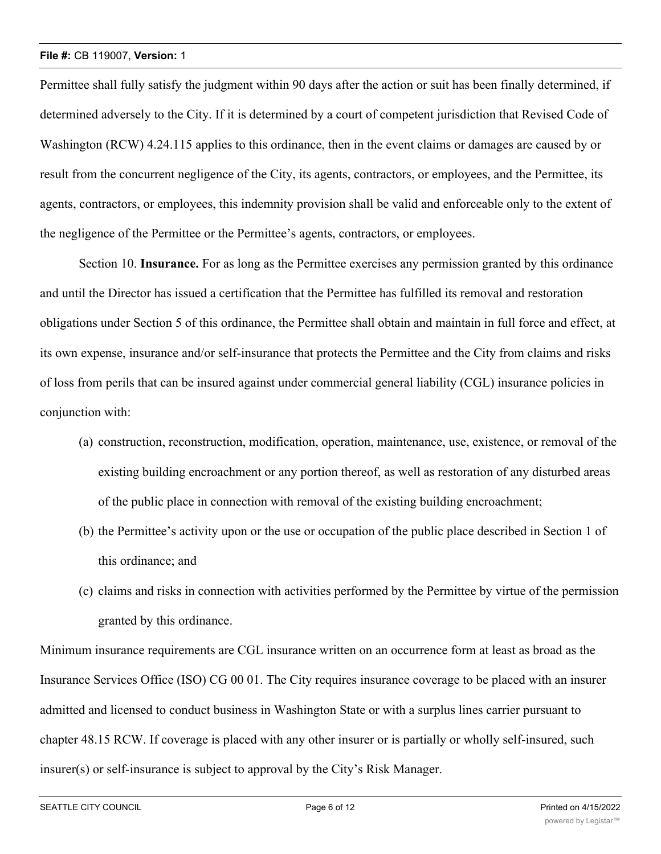Permittee shall fully satisfy the judgment within 90 days after the action or suit has been finally determined, if determined adversely to the City. If it is determined by a court of competent jurisdiction that Revised Code of Washington (RCW) 4.24.115 applies to this ordinance, then in the event claims or damages are caused by or result from the concurrent negligence of the City, its agents, contractors, or employees, and the Permittee, its agents, contractors, or employees, this indemnity provision shall be valid and enforceable only to the extent of the negligence of the Permittee or the Permittee's agents, contractors, or employees.

Section 10. **Insurance.** For as long as the Permittee exercises any permission granted by this ordinance and until the Director has issued a certification that the Permittee has fulfilled its removal and restoration obligations under Section 5 of this ordinance, the Permittee shall obtain and maintain in full force and effect, at its own expense, insurance and/or self-insurance that protects the Permittee and the City from claims and risks of loss from perils that can be insured against under commercial general liability (CGL) insurance policies in conjunction with:

- (a) construction, reconstruction, modification, operation, maintenance, use, existence, or removal of the existing building encroachment or any portion thereof, as well as restoration of any disturbed areas of the public place in connection with removal of the existing building encroachment;
- (b) the Permittee's activity upon or the use or occupation of the public place described in Section 1 of this ordinance; and
- (c) claims and risks in connection with activities performed by the Permittee by virtue of the permission granted by this ordinance.

Minimum insurance requirements are CGL insurance written on an occurrence form at least as broad as the Insurance Services Office (ISO) CG 00 01. The City requires insurance coverage to be placed with an insurer admitted and licensed to conduct business in Washington State or with a surplus lines carrier pursuant to chapter 48.15 RCW. If coverage is placed with any other insurer or is partially or wholly self-insured, such insurer(s) or self-insurance is subject to approval by the City's Risk Manager.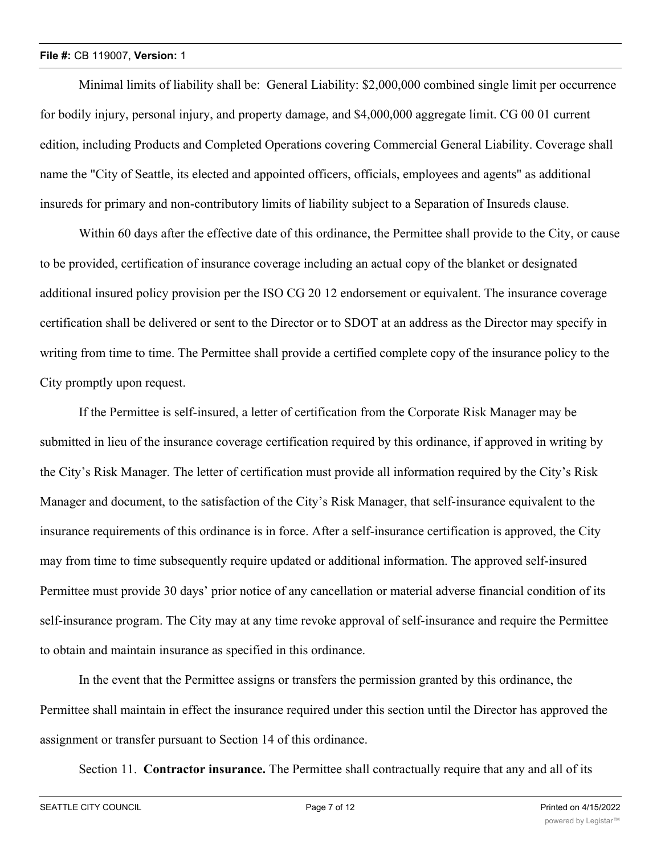Minimal limits of liability shall be: General Liability: \$2,000,000 combined single limit per occurrence for bodily injury, personal injury, and property damage, and \$4,000,000 aggregate limit. CG 00 01 current edition, including Products and Completed Operations covering Commercial General Liability. Coverage shall name the "City of Seattle, its elected and appointed officers, officials, employees and agents" as additional insureds for primary and non-contributory limits of liability subject to a Separation of Insureds clause.

Within 60 days after the effective date of this ordinance, the Permittee shall provide to the City, or cause to be provided, certification of insurance coverage including an actual copy of the blanket or designated additional insured policy provision per the ISO CG 20 12 endorsement or equivalent. The insurance coverage certification shall be delivered or sent to the Director or to SDOT at an address as the Director may specify in writing from time to time. The Permittee shall provide a certified complete copy of the insurance policy to the City promptly upon request.

If the Permittee is self-insured, a letter of certification from the Corporate Risk Manager may be submitted in lieu of the insurance coverage certification required by this ordinance, if approved in writing by the City's Risk Manager. The letter of certification must provide all information required by the City's Risk Manager and document, to the satisfaction of the City's Risk Manager, that self-insurance equivalent to the insurance requirements of this ordinance is in force. After a self-insurance certification is approved, the City may from time to time subsequently require updated or additional information. The approved self-insured Permittee must provide 30 days' prior notice of any cancellation or material adverse financial condition of its self-insurance program. The City may at any time revoke approval of self-insurance and require the Permittee to obtain and maintain insurance as specified in this ordinance.

In the event that the Permittee assigns or transfers the permission granted by this ordinance, the Permittee shall maintain in effect the insurance required under this section until the Director has approved the assignment or transfer pursuant to Section 14 of this ordinance.

Section 11. **Contractor insurance.** The Permittee shall contractually require that any and all of its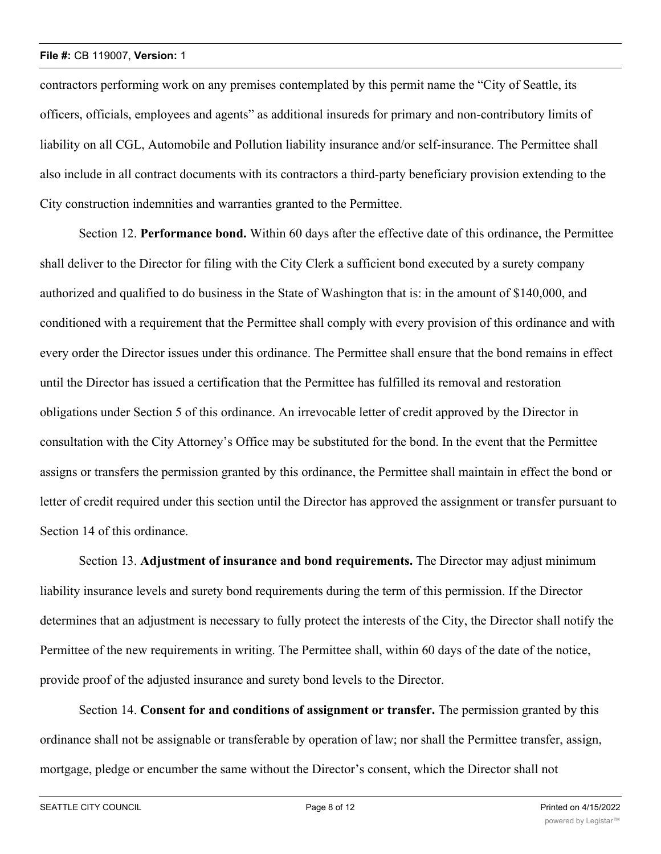contractors performing work on any premises contemplated by this permit name the "City of Seattle, its officers, officials, employees and agents" as additional insureds for primary and non-contributory limits of liability on all CGL, Automobile and Pollution liability insurance and/or self-insurance. The Permittee shall also include in all contract documents with its contractors a third-party beneficiary provision extending to the City construction indemnities and warranties granted to the Permittee.

Section 12. **Performance bond.** Within 60 days after the effective date of this ordinance, the Permittee shall deliver to the Director for filing with the City Clerk a sufficient bond executed by a surety company authorized and qualified to do business in the State of Washington that is: in the amount of \$140,000, and conditioned with a requirement that the Permittee shall comply with every provision of this ordinance and with every order the Director issues under this ordinance. The Permittee shall ensure that the bond remains in effect until the Director has issued a certification that the Permittee has fulfilled its removal and restoration obligations under Section 5 of this ordinance. An irrevocable letter of credit approved by the Director in consultation with the City Attorney's Office may be substituted for the bond. In the event that the Permittee assigns or transfers the permission granted by this ordinance, the Permittee shall maintain in effect the bond or letter of credit required under this section until the Director has approved the assignment or transfer pursuant to Section 14 of this ordinance.

Section 13. **Adjustment of insurance and bond requirements.** The Director may adjust minimum liability insurance levels and surety bond requirements during the term of this permission. If the Director determines that an adjustment is necessary to fully protect the interests of the City, the Director shall notify the Permittee of the new requirements in writing. The Permittee shall, within 60 days of the date of the notice, provide proof of the adjusted insurance and surety bond levels to the Director.

Section 14. **Consent for and conditions of assignment or transfer.** The permission granted by this ordinance shall not be assignable or transferable by operation of law; nor shall the Permittee transfer, assign, mortgage, pledge or encumber the same without the Director's consent, which the Director shall not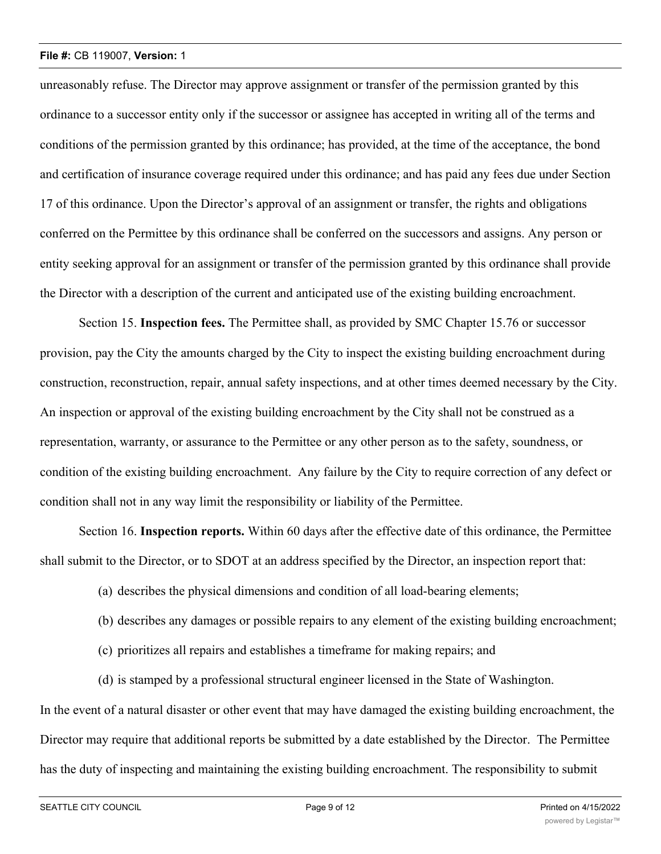unreasonably refuse. The Director may approve assignment or transfer of the permission granted by this ordinance to a successor entity only if the successor or assignee has accepted in writing all of the terms and conditions of the permission granted by this ordinance; has provided, at the time of the acceptance, the bond and certification of insurance coverage required under this ordinance; and has paid any fees due under Section 17 of this ordinance. Upon the Director's approval of an assignment or transfer, the rights and obligations conferred on the Permittee by this ordinance shall be conferred on the successors and assigns. Any person or entity seeking approval for an assignment or transfer of the permission granted by this ordinance shall provide the Director with a description of the current and anticipated use of the existing building encroachment.

Section 15. **Inspection fees.** The Permittee shall, as provided by SMC Chapter 15.76 or successor provision, pay the City the amounts charged by the City to inspect the existing building encroachment during construction, reconstruction, repair, annual safety inspections, and at other times deemed necessary by the City. An inspection or approval of the existing building encroachment by the City shall not be construed as a representation, warranty, or assurance to the Permittee or any other person as to the safety, soundness, or condition of the existing building encroachment. Any failure by the City to require correction of any defect or condition shall not in any way limit the responsibility or liability of the Permittee.

Section 16. **Inspection reports.** Within 60 days after the effective date of this ordinance, the Permittee shall submit to the Director, or to SDOT at an address specified by the Director, an inspection report that:

- (a) describes the physical dimensions and condition of all load-bearing elements;
- (b) describes any damages or possible repairs to any element of the existing building encroachment;
- (c) prioritizes all repairs and establishes a timeframe for making repairs; and
- (d) is stamped by a professional structural engineer licensed in the State of Washington.

In the event of a natural disaster or other event that may have damaged the existing building encroachment, the Director may require that additional reports be submitted by a date established by the Director. The Permittee has the duty of inspecting and maintaining the existing building encroachment. The responsibility to submit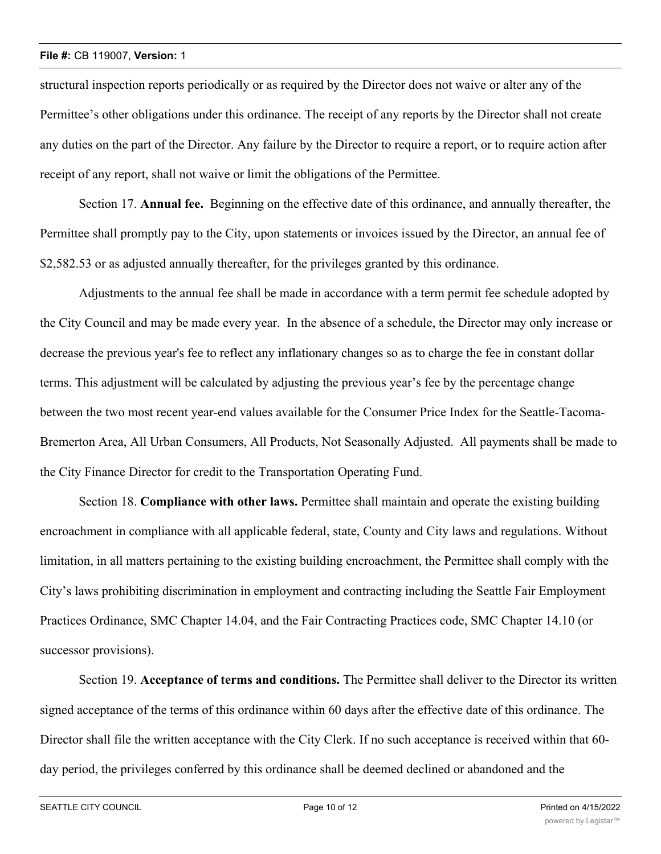structural inspection reports periodically or as required by the Director does not waive or alter any of the Permittee's other obligations under this ordinance. The receipt of any reports by the Director shall not create any duties on the part of the Director. Any failure by the Director to require a report, or to require action after receipt of any report, shall not waive or limit the obligations of the Permittee.

Section 17. **Annual fee.** Beginning on the effective date of this ordinance, and annually thereafter, the Permittee shall promptly pay to the City, upon statements or invoices issued by the Director, an annual fee of \$2,582.53 or as adjusted annually thereafter, for the privileges granted by this ordinance.

Adjustments to the annual fee shall be made in accordance with a term permit fee schedule adopted by the City Council and may be made every year. In the absence of a schedule, the Director may only increase or decrease the previous year's fee to reflect any inflationary changes so as to charge the fee in constant dollar terms. This adjustment will be calculated by adjusting the previous year's fee by the percentage change between the two most recent year-end values available for the Consumer Price Index for the Seattle-Tacoma-Bremerton Area, All Urban Consumers, All Products, Not Seasonally Adjusted. All payments shall be made to the City Finance Director for credit to the Transportation Operating Fund.

Section 18. **Compliance with other laws.** Permittee shall maintain and operate the existing building encroachment in compliance with all applicable federal, state, County and City laws and regulations. Without limitation, in all matters pertaining to the existing building encroachment, the Permittee shall comply with the City's laws prohibiting discrimination in employment and contracting including the Seattle Fair Employment Practices Ordinance, SMC Chapter 14.04, and the Fair Contracting Practices code, SMC Chapter 14.10 (or successor provisions).

Section 19. **Acceptance of terms and conditions.** The Permittee shall deliver to the Director its written signed acceptance of the terms of this ordinance within 60 days after the effective date of this ordinance. The Director shall file the written acceptance with the City Clerk. If no such acceptance is received within that 60 day period, the privileges conferred by this ordinance shall be deemed declined or abandoned and the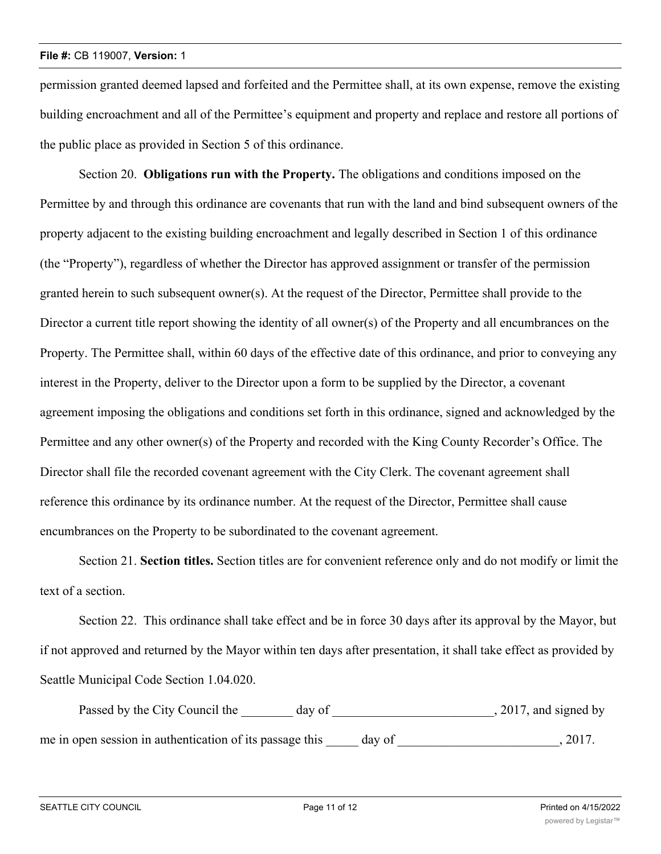permission granted deemed lapsed and forfeited and the Permittee shall, at its own expense, remove the existing building encroachment and all of the Permittee's equipment and property and replace and restore all portions of the public place as provided in Section 5 of this ordinance.

Section 20. **Obligations run with the Property.** The obligations and conditions imposed on the Permittee by and through this ordinance are covenants that run with the land and bind subsequent owners of the property adjacent to the existing building encroachment and legally described in Section 1 of this ordinance (the "Property"), regardless of whether the Director has approved assignment or transfer of the permission granted herein to such subsequent owner(s). At the request of the Director, Permittee shall provide to the Director a current title report showing the identity of all owner(s) of the Property and all encumbrances on the Property. The Permittee shall, within 60 days of the effective date of this ordinance, and prior to conveying any interest in the Property, deliver to the Director upon a form to be supplied by the Director, a covenant agreement imposing the obligations and conditions set forth in this ordinance, signed and acknowledged by the Permittee and any other owner(s) of the Property and recorded with the King County Recorder's Office. The Director shall file the recorded covenant agreement with the City Clerk. The covenant agreement shall reference this ordinance by its ordinance number. At the request of the Director, Permittee shall cause encumbrances on the Property to be subordinated to the covenant agreement.

Section 21. **Section titles.** Section titles are for convenient reference only and do not modify or limit the text of a section.

Section 22. This ordinance shall take effect and be in force 30 days after its approval by the Mayor, but if not approved and returned by the Mayor within ten days after presentation, it shall take effect as provided by Seattle Municipal Code Section 1.04.020.

Passed by the City Council the day of 3017, and signed by me in open session in authentication of its passage this day of 3017.